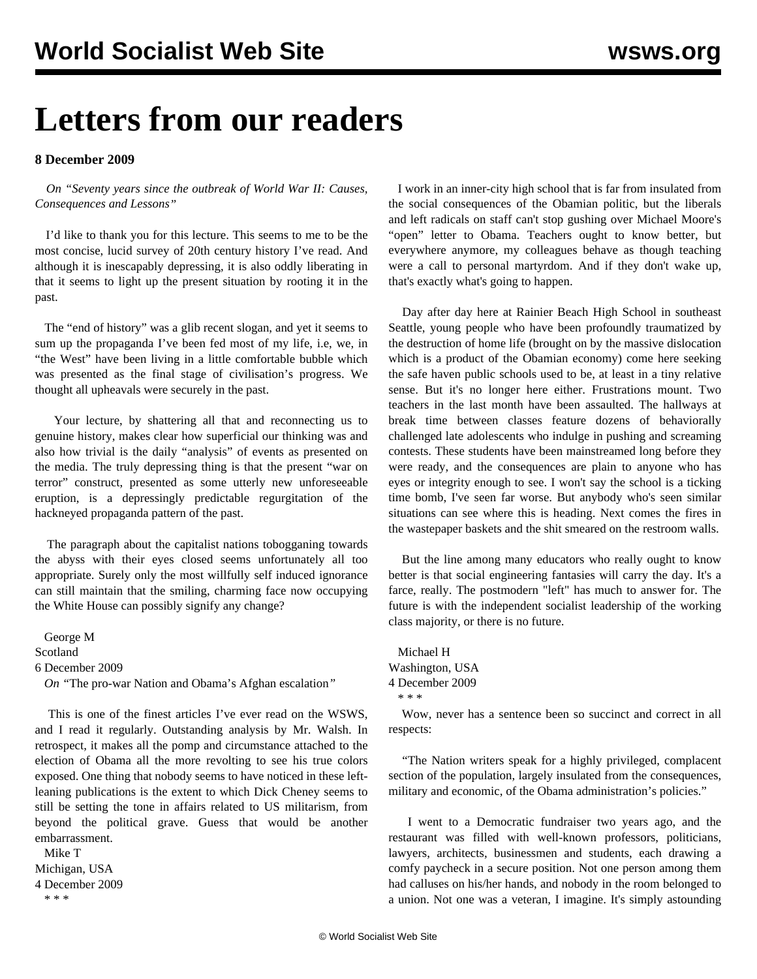## **Letters from our readers**

## **8 December 2009**

 *On ["Seventy years since the outbreak of World War II: Causes,](/en/articles/2009/oct2009/wwii-o29.shtml) [Consequences and Lessons](/en/articles/2009/oct2009/wwii-o29.shtml)"*

 I'd like to thank you for this lecture. This seems to me to be the most concise, lucid survey of 20th century history I've read. And although it is inescapably depressing, it is also oddly liberating in that it seems to light up the present situation by rooting it in the past.

 The "end of history" was a glib recent slogan, and yet it seems to sum up the propaganda I've been fed most of my life, i.e, we, in "the West" have been living in a little comfortable bubble which was presented as the final stage of civilisation's progress. We thought all upheavals were securely in the past.

 Your lecture, by shattering all that and reconnecting us to genuine history, makes clear how superficial our thinking was and also how trivial is the daily "analysis" of events as presented on the media. The truly depressing thing is that the present "war on terror" construct, presented as some utterly new unforeseeable eruption, is a depressingly predictable regurgitation of the hackneyed propaganda pattern of the past.

 The paragraph about the capitalist nations tobogganing towards the abyss with their eyes closed seems unfortunately all too appropriate. Surely only the most willfully self induced ignorance can still maintain that the smiling, charming face now occupying the White House can possibly signify any change?

 George M Scotland 6 December 2009 *On "*[The pro-war Nation and Obama's Afghan escalation](/en/articles/2009/dec2009/nati-d04.shtml)*"*

 This is one of the finest articles I've ever read on the WSWS, and I read it regularly. Outstanding analysis by Mr. Walsh. In retrospect, it makes all the pomp and circumstance attached to the election of Obama all the more revolting to see his true colors exposed. One thing that nobody seems to have noticed in these leftleaning publications is the extent to which Dick Cheney seems to still be setting the tone in affairs related to US militarism, from beyond the political grave. Guess that would be another embarrassment.

 Mike T Michigan, USA 4 December 2009 \* \* \*

 I work in an inner-city high school that is far from insulated from the social consequences of the Obamian politic, but the liberals and left radicals on staff can't stop gushing over Michael Moore's "open" letter to Obama. Teachers ought to know better, but everywhere anymore, my colleagues behave as though teaching were a call to personal martyrdom. And if they don't wake up, that's exactly what's going to happen.

 Day after day here at Rainier Beach High School in southeast Seattle, young people who have been profoundly traumatized by the destruction of home life (brought on by the massive dislocation which is a product of the Obamian economy) come here seeking the safe haven public schools used to be, at least in a tiny relative sense. But it's no longer here either. Frustrations mount. Two teachers in the last month have been assaulted. The hallways at break time between classes feature dozens of behaviorally challenged late adolescents who indulge in pushing and screaming contests. These students have been mainstreamed long before they were ready, and the consequences are plain to anyone who has eyes or integrity enough to see. I won't say the school is a ticking time bomb, I've seen far worse. But anybody who's seen similar situations can see where this is heading. Next comes the fires in the wastepaper baskets and the shit smeared on the restroom walls.

 But the line among many educators who really ought to know better is that social engineering fantasies will carry the day. It's a farce, really. The postmodern "left" has much to answer for. The future is with the independent socialist leadership of the working class majority, or there is no future.

 Michael H Washington, USA 4 December 2009 \* \* \*

 Wow, never has a sentence been so succinct and correct in all respects:

 "The Nation writers speak for a highly privileged, complacent section of the population, largely insulated from the consequences, military and economic, of the Obama administration's policies."

 I went to a Democratic fundraiser two years ago, and the restaurant was filled with well-known professors, politicians, lawyers, architects, businessmen and students, each drawing a comfy paycheck in a secure position. Not one person among them had calluses on his/her hands, and nobody in the room belonged to a union. Not one was a veteran, I imagine. It's simply astounding